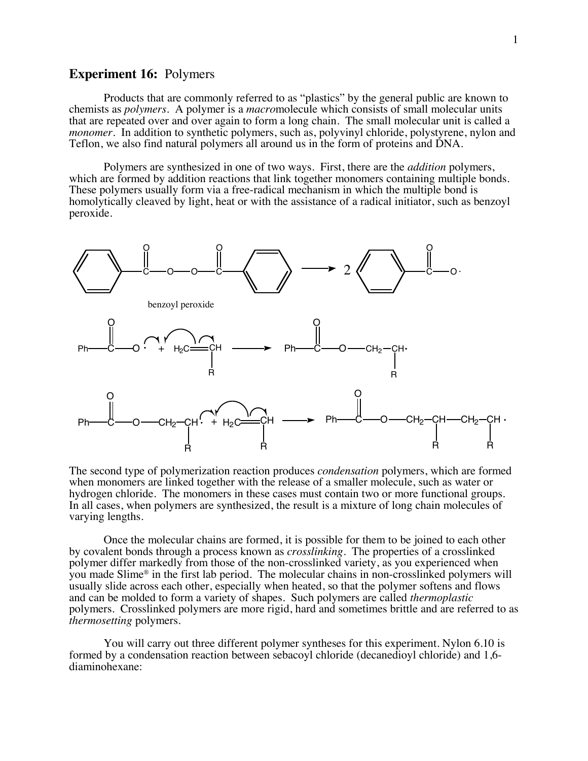# **Experiment 16:** Polymers

Products that are commonly referred to as "plastics" by the general public are known to chemists as *polymers*. A polymer is a *macro*molecule which consists of small molecular units that are repeated over and over again to form a long chain. The small molecular unit is called a *monomer*. In addition to synthetic polymers, such as, polyvinyl chloride, polystyrene, nylon and Teflon, we also find natural polymers all around us in the form of proteins and DNA.

Polymers are synthesized in one of two ways. First, there are the *addition* polymers, which are formed by addition reactions that link together monomers containing multiple bonds. These polymers usually form via a free-radical mechanism in which the multiple bond is homolytically cleaved by light, heat or with the assistance of a radical initiator, such as benzoyl peroxide.



The second type of polymerization reaction produces *condensation* polymers, which are formed when monomers are linked together with the release of a smaller molecule, such as water or hydrogen chloride. The monomers in these cases must contain two or more functional groups. In all cases, when polymers are synthesized, the result is a mixture of long chain molecules of varying lengths.

Once the molecular chains are formed, it is possible for them to be joined to each other by covalent bonds through a process known as *crosslinking*. The properties of a crosslinked polymer differ markedly from those of the non-crosslinked variety, as you experienced when you made Slime® in the first lab period. The molecular chains in non-crosslinked polymers will usually slide across each other, especially when heated, so that the polymer softens and flows and can be molded to form a variety of shapes. Such polymers are called *thermoplastic*  polymers. Crosslinked polymers are more rigid, hard and sometimes brittle and are referred to as *thermosetting* polymers.

You will carry out three different polymer syntheses for this experiment. Nylon 6.10 is formed by a condensation reaction between sebacoyl chloride (decanedioyl chloride) and 1,6 diaminohexane: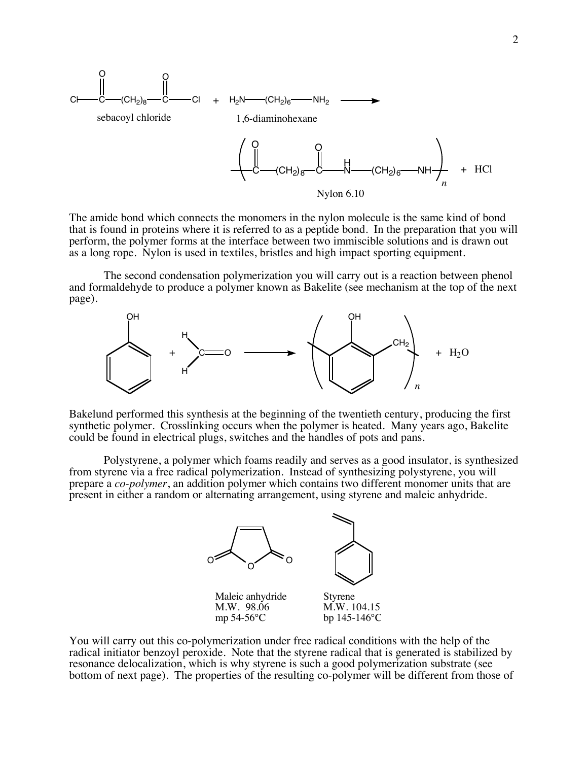

The amide bond which connects the monomers in the nylon molecule is the same kind of bond that is found in proteins where it is referred to as a peptide bond. In the preparation that you will perform, the polymer forms at the interface between two immiscible solutions and is drawn out as a long rope. Nylon is used in textiles, bristles and high impact sporting equipment.

The second condensation polymerization you will carry out is a reaction between phenol and formaldehyde to produce a polymer known as Bakelite (see mechanism at the top of the next page).



Bakelund performed this synthesis at the beginning of the twentieth century, producing the first synthetic polymer. Crosslinking occurs when the polymer is heated. Many years ago, Bakelite could be found in electrical plugs, switches and the handles of pots and pans.

Polystyrene, a polymer which foams readily and serves as a good insulator, is synthesized from styrene via a free radical polymerization. Instead of synthesizing polystyrene, you will prepare a *co-polymer*, an addition polymer which contains two different monomer units that are present in either a random or alternating arrangement, using styrene and maleic anhydride.



You will carry out this co-polymerization under free radical conditions with the help of the radical initiator benzoyl peroxide. Note that the styrene radical that is generated is stabilized by resonance delocalization, which is why styrene is such a good polymerization substrate (see bottom of next page). The properties of the resulting co-polymer will be different from those of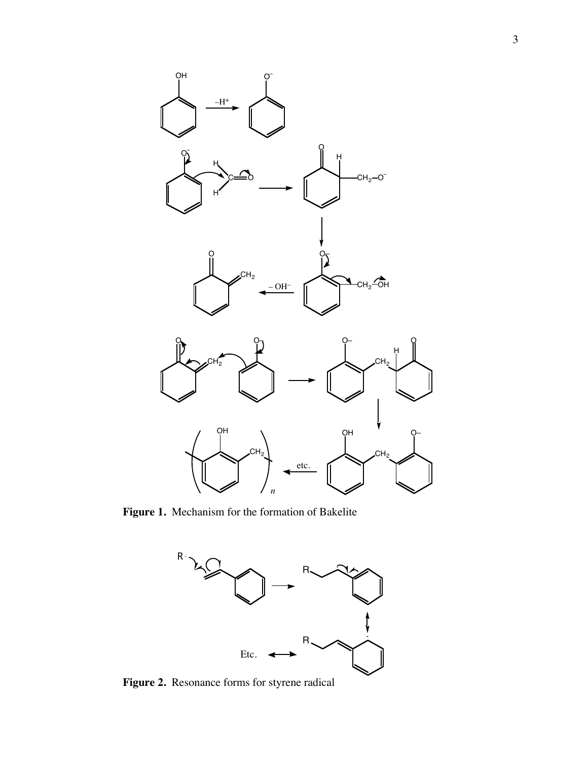

**Figure 1.** Mechanism for the formation of Bakelite



**Figure 2.** Resonance forms for styrene radical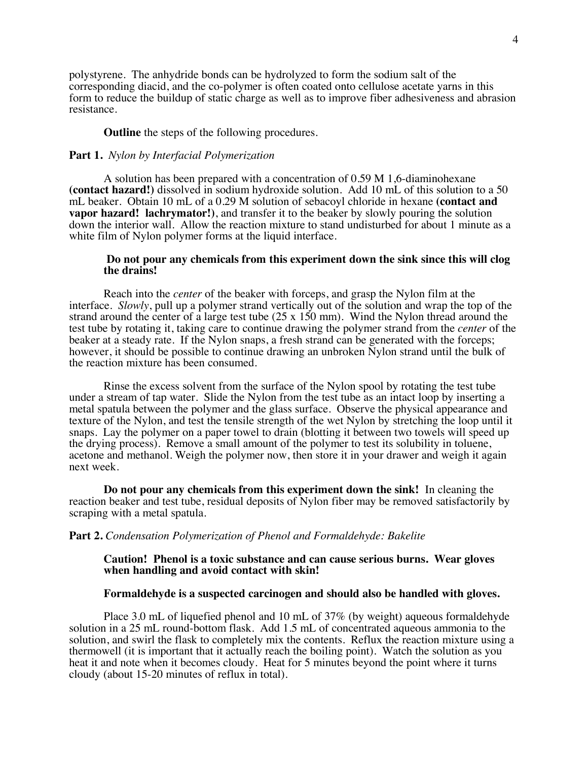polystyrene. The anhydride bonds can be hydrolyzed to form the sodium salt of the corresponding diacid, and the co-polymer is often coated onto cellulose acetate yarns in this form to reduce the buildup of static charge as well as to improve fiber adhesiveness and abrasion resistance.

#### **Outline** the steps of the following procedures.

## **Part 1.** *Nylon by Interfacial Polymerization*

A solution has been prepared with a concentration of 0.59 M 1,6-diaminohexane **(contact hazard!)** dissolved in sodium hydroxide solution. Add 10 mL of this solution to a 50 mL beaker. Obtain 10 mL of a 0.29 M solution of sebacoyl chloride in hexane **(contact and vapor hazard! lachrymator!)**, and transfer it to the beaker by slowly pouring the solution down the interior wall. Allow the reaction mixture to stand undisturbed for about 1 minute as a white film of Nylon polymer forms at the liquid interface.

### **Do not pour any chemicals from this experiment down the sink since this will clog the drains!**

Reach into the *center* of the beaker with forceps, and grasp the Nylon film at the interface. *Slowly*, pull up a polymer strand vertically out of the solution and wrap the top of the strand around the center of a large test tube (25 x 150 mm). Wind the Nylon thread around the test tube by rotating it, taking care to continue drawing the polymer strand from the *center* of the beaker at a steady rate. If the Nylon snaps, a fresh strand can be generated with the forceps; however, it should be possible to continue drawing an unbroken Nylon strand until the bulk of the reaction mixture has been consumed.

Rinse the excess solvent from the surface of the Nylon spool by rotating the test tube under a stream of tap water. Slide the Nylon from the test tube as an intact loop by inserting a metal spatula between the polymer and the glass surface. Observe the physical appearance and texture of the Nylon, and test the tensile strength of the wet Nylon by stretching the loop until it snaps. Lay the polymer on a paper towel to drain (blotting it between two towels will speed up the drying process). Remove a small amount of the polymer to test its solubility in toluene, acetone and methanol. Weigh the polymer now, then store it in your drawer and weigh it again next week.

**Do not pour any chemicals from this experiment down the sink!** In cleaning the reaction beaker and test tube, residual deposits of Nylon fiber may be removed satisfactorily by scraping with a metal spatula.

### **Part 2.** *Condensation Polymerization of Phenol and Formaldehyde: Bakelite*

### **Caution! Phenol is a toxic substance and can cause serious burns. Wear gloves when handling and avoid contact with skin!**

### **Formaldehyde is a suspected carcinogen and should also be handled with gloves.**

Place 3.0 mL of liquefied phenol and 10 mL of 37% (by weight) aqueous formaldehyde solution in a 25 mL round-bottom flask. Add 1.5 mL of concentrated aqueous ammonia to the solution, and swirl the flask to completely mix the contents. Reflux the reaction mixture using a thermowell (it is important that it actually reach the boiling point). Watch the solution as you heat it and note when it becomes cloudy. Heat for 5 minutes beyond the point where it turns cloudy (about 15-20 minutes of reflux in total).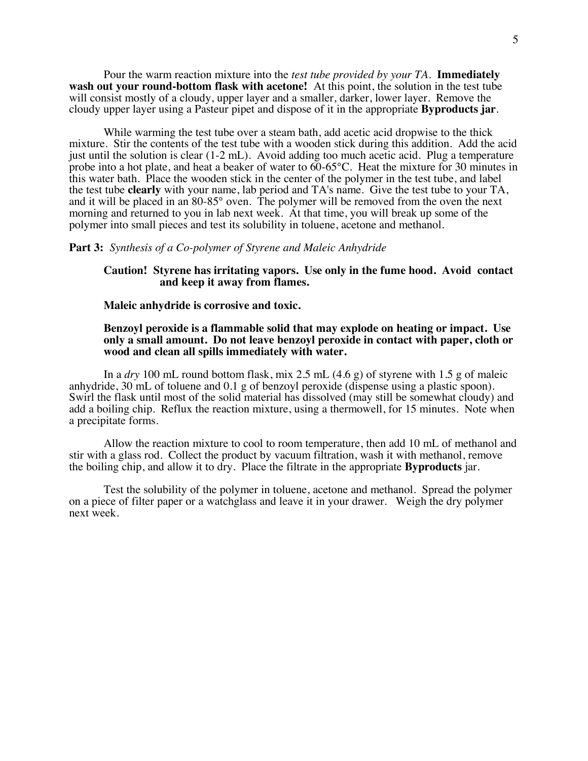Pour the warm reaction mixture into the *test tube provided by your TA*. **Immediately wash out your round-bottom flask with acetone!** At this point, the solution in the test tube will consist mostly of a cloudy, upper layer and a smaller, darker, lower layer. Remove the cloudy upper layer using a Pasteur pipet and dispose of it in the appropriate **Byproducts jar**.

While warming the test tube over a steam bath, add acetic acid dropwise to the thick mixture. Stir the contents of the test tube with a wooden stick during this addition. Add the acid just until the solution is clear (1-2 mL). Avoid adding too much acetic acid. Plug a temperature probe into a hot plate, and heat a beaker of water to  $60-65^{\circ}$ C. Heat the mixture for 30 minutes in this water bath. Place the wooden stick in the center of the polymer in the test tube, and label the test tube **clearly** with your name, lab period and TA's name. Give the test tube to your TA, and it will be placed in an 80-85° oven. The polymer will be removed from the oven the next morning and returned to you in lab next week. At that time, you will break up some of the polymer into small pieces and test its solubility in toluene, acetone and methanol.

### **Part 3:** *Synthesis of a Co-polymer of Styrene and Maleic Anhydride*

### **Caution! Styrene has irritating vapors. Use only in the fume hood. Avoid contact and keep it away from flames.**

#### **Maleic anhydride is corrosive and toxic.**

## **Benzoyl peroxide is a flammable solid that may explode on heating or impact. Use only a small amount. Do not leave benzoyl peroxide in contact with paper, cloth or wood and clean all spills immediately with water.**

In a *dry* 100 mL round bottom flask, mix 2.5 mL (4.6 g) of styrene with 1.5 g of maleic anhydride, 30 mL of toluene and 0.1 g of benzoyl peroxide (dispense using a plastic spoon). Swirl the flask until most of the solid material has dissolved (may still be somewhat cloudy) and add a boiling chip. Reflux the reaction mixture, using a thermowell, for 15 minutes. Note when a precipitate forms.

Allow the reaction mixture to cool to room temperature, then add 10 mL of methanol and stir with a glass rod. Collect the product by vacuum filtration, wash it with methanol, remove the boiling chip, and allow it to dry. Place the filtrate in the appropriate **Byproducts** jar.

Test the solubility of the polymer in toluene, acetone and methanol. Spread the polymer on a piece of filter paper or a watchglass and leave it in your drawer. Weigh the dry polymer next week.